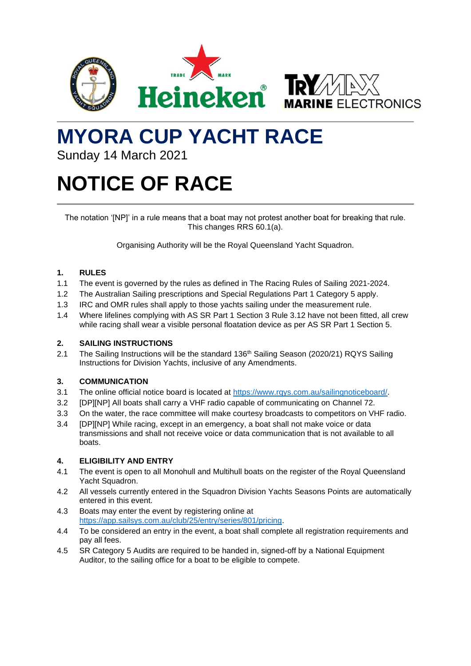



# **MYORA CUP YACHT RACE**

Sunday 14 March 2021

# **NOTICE OF RACE**

The notation '[NP]' in a rule means that a boat may not protest another boat for breaking that rule. This changes RRS 60.1(a).

Organising Authority will be the Royal Queensland Yacht Squadron.

# **1. RULES**

- 1.1 The event is governed by the rules as defined in The Racing Rules of Sailing 2021-2024.
- 1.2 The Australian Sailing prescriptions and Special Regulations Part 1 Category 5 apply.
- 1.3 IRC and OMR rules shall apply to those yachts sailing under the measurement rule.
- 1.4 Where lifelines complying with AS SR Part 1 Section 3 Rule 3.12 have not been fitted, all crew while racing shall wear a visible personal floatation device as per AS SR Part 1 Section 5.

#### **2. SAILING INSTRUCTIONS**

2.1 The Sailing Instructions will be the standard 136<sup>th</sup> Sailing Season (2020/21) RQYS Sailing Instructions for Division Yachts, inclusive of any Amendments.

# **3. COMMUNICATION**

- 3.1 The online official notice board is located at [https://www.rqys.com.au/sailingnoticeboard/.](https://www.rqys.com.au/sailingnoticeboard/)
- 3.2 [DP][NP] All boats shall carry a VHF radio capable of communicating on Channel 72.
- 3.3 On the water, the race committee will make courtesy broadcasts to competitors on VHF radio.
- 3.4 [DP][NP] While racing, except in an emergency, a boat shall not make voice or data transmissions and shall not receive voice or data communication that is not available to all boats.

#### **4. ELIGIBILITY AND ENTRY**

- 4.1 The event is open to all Monohull and Multihull boats on the register of the Royal Queensland Yacht Squadron.
- 4.2 All vessels currently entered in the Squadron Division Yachts Seasons Points are automatically entered in this event.
- 4.3 Boats may enter the event by registering online at [https://app.sailsys.com.au/club/25/entry/series/801/pricing.](https://app.sailsys.com.au/club/25/entry/series/801/pricing)
- 4.4 To be considered an entry in the event, a boat shall complete all registration requirements and pay all fees.
- 4.5 SR Category 5 Audits are required to be handed in, signed-off by a National Equipment Auditor, to the sailing office for a boat to be eligible to compete.